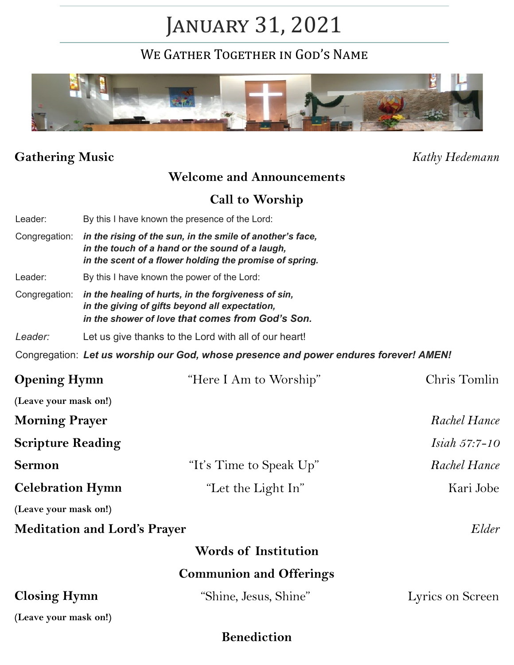# January 31, 2021

WE GATHER TOGETHER IN GOD'S NAME



## **Gathering Music** *Kathy Hedemann*

## **Welcome and Announcements**

#### **Call to Worship**

|                                     |                                                                                                                                                                         | <b>Benediction</b>                                                                    |                  |  |
|-------------------------------------|-------------------------------------------------------------------------------------------------------------------------------------------------------------------------|---------------------------------------------------------------------------------------|------------------|--|
| (Leave your mask on!)               |                                                                                                                                                                         |                                                                                       |                  |  |
| <b>Closing Hymn</b>                 |                                                                                                                                                                         | "Shine, Jesus, Shine"                                                                 | Lyrics on Screen |  |
|                                     |                                                                                                                                                                         | <b>Communion and Offerings</b>                                                        |                  |  |
|                                     |                                                                                                                                                                         | <b>Words of Institution</b>                                                           |                  |  |
| <b>Meditation and Lord's Prayer</b> |                                                                                                                                                                         |                                                                                       | Elder            |  |
| (Leave your mask on!)               |                                                                                                                                                                         |                                                                                       |                  |  |
| <b>Celebration Hymn</b>             |                                                                                                                                                                         | "Let the Light In"                                                                    | Kari Jobe        |  |
| <b>Sermon</b>                       |                                                                                                                                                                         | "It's Time to Speak Up"                                                               | Rachel Hance     |  |
| <b>Scripture Reading</b>            |                                                                                                                                                                         |                                                                                       | Isiah 57:7-10    |  |
| <b>Morning Prayer</b>               |                                                                                                                                                                         |                                                                                       | Rachel Hance     |  |
| (Leave your mask on!)               |                                                                                                                                                                         |                                                                                       |                  |  |
| <b>Opening Hymn</b>                 |                                                                                                                                                                         | "Here I Am to Worship"                                                                | Chris Tomlin     |  |
|                                     |                                                                                                                                                                         | Congregation: Let us worship our God, whose presence and power endures forever! AMEN! |                  |  |
| Leader:                             |                                                                                                                                                                         | Let us give thanks to the Lord with all of our heart!                                 |                  |  |
| Congregation:                       | in the healing of hurts, in the forgiveness of sin,<br>in the giving of gifts beyond all expectation,<br>in the shower of love that comes from God's Son.               |                                                                                       |                  |  |
| Leader:                             | By this I have known the power of the Lord:                                                                                                                             |                                                                                       |                  |  |
| Congregation:                       | in the rising of the sun, in the smile of another's face,<br>in the touch of a hand or the sound of a laugh,<br>in the scent of a flower holding the promise of spring. |                                                                                       |                  |  |
| Leader:                             |                                                                                                                                                                         | By this I have known the presence of the Lord:                                        |                  |  |
|                                     |                                                                                                                                                                         |                                                                                       |                  |  |